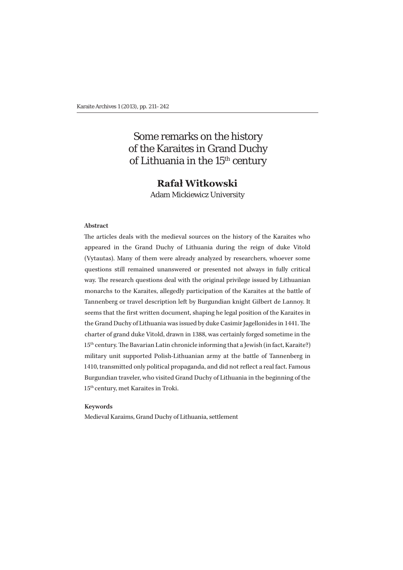# Some remarks on the history of the Karaites in Grand Duchy of Lithuania in the 15<sup>th</sup> century

# **Rafał Witkowski**

Adam Mickiewicz University

#### **Abstract**

The articles deals with the medieval sources on the history of the Karaites who appeared in the Grand Duchy of Lithuania during the reign of duke Vitold (Vytautas). Many of them were already analyzed by researchers, whoever some questions still remained unanswered or presented not always in fully critical way. The research questions deal with the original privilege issued by Lithuanian monarchs to the Karaites, allegedly participation of the Karaites at the battle of Tannenberg or travel description left by Burgundian knight Gilbert de Lannoy. It seems that the first written document, shaping he legal position of the Karaites in the Grand Duchy of Lithuania was issued by duke Casimir Jagellonides in 1441. The charter of grand duke Vitold, drawn in 1388, was certainly forged sometime in the 15<sup>th</sup> century. The Bavarian Latin chronicle informing that a Jewish (in fact, Karaite?) military unit supported Polish-Lithuanian army at the battle of Tannenberg in 1410, transmitted only political propaganda, and did not reflect a real fact. Famous Burgundian traveler, who visited Grand Duchy of Lithuania in the beginning of the 15th century, met Karaites in Troki.

#### **Keywords**

Medieval Karaims, Grand Duchy of Lithuania, settlement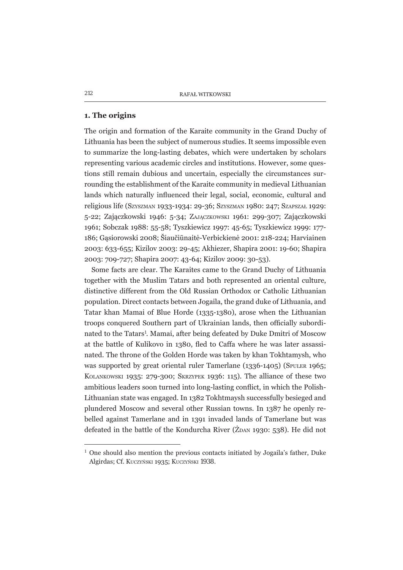### 1. The origins

The origin and formation of the Karaite community in the Grand Duchy of Lithuania has been the subject of numerous studies. It seems impossible even to summarize the long-lasting debates, which were undertaken by scholars representing various academic circles and institutions. However, some questions still remain dubious and uncertain, especially the circumstances surrounding the establishment of the Karaite community in medieval Lithuanian lands which naturally influenced their legal, social, economic, cultural and religious life (SZYSZMAN 1933-1934: 29-36; SZYSZMAN 1980: 247; SZAPSZAŁ 1929: 5-22; Zajączkowski 1946: 5-34; ZAJĄCZKOWSKI 1961: 299-307; Zajączkowski 1961; Sobczak 1988: 55-58; Tyszkiewicz 1997: 45-65; Tyszkiewicz 1999: 177-186; Gasiorowski 2008; Šiaučiūnaitė-Verbickienė 2001: 218-224; Harviainen 2003: 633-655; Kizilov 2003: 29-45; Akhiezer, Shapira 2001: 19-60; Shapira 2003: 709-727; Shapira 2007: 43-64; Kizilov 2009: 30-53).

Some facts are clear. The Karaites came to the Grand Duchy of Lithuania together with the Muslim Tatars and both represented an oriental culture, distinctive different from the Old Russian Orthodox or Catholic Lithuanian population. Direct contacts between Jogaila, the grand duke of Lithuania, and Tatar khan Mamai of Blue Horde (1335-1380), arose when the Lithuanian troops conquered Southern part of Ukrainian lands, then officially subordinated to the Tatars<sup>1</sup>. Mamai, after being defeated by Duke Dmitri of Moscow at the battle of Kulikovo in 1380, fled to Caffa where he was later assassinated. The throne of the Golden Horde was taken by khan Tokhtamysh, who was supported by great oriental ruler Tamerlane (1336-1405) (SPULER 1965; KOLANKOWSKI 1935: 279-300; SKRZYPEK 1936: 115). The alliance of these two ambitious leaders soon turned into long-lasting conflict, in which the Polish-Lithuanian state was engaged. In 1382 Tokhtmaysh successfully besieged and plundered Moscow and several other Russian towns. In 1387 he openly rebelled against Tamerlane and in 1391 invaded lands of Tamerlane but was defeated in the battle of the Kondurcha River ( $\zeta$ DAN 1930: 538). He did not

<sup>&</sup>lt;sup>1</sup> One should also mention the previous contacts initiated by Jogaila's father, Duke Algirdas; Cf. Kuczyński 1935; Kuczyński 1938.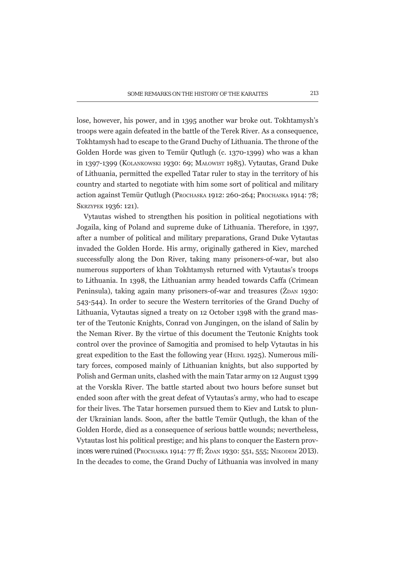lose, however, his power, and in 1395 another war broke out. Tokhtamysh's troops were again defeated in the battle of the Terek River. As a consequence, Tokhtamysh had to escape to the Grand Duchy of Lithuania. The throne of the Golden Horde was given to Temür Outlugh (c. 1370-1399) who was a khan in 1397-1399 (KOLANKOWSKI 1930: 69; MAŁOWIST 1985). Vytautas, Grand Duke of Lithuania, permitted the expelled Tatar ruler to stay in the territory of his country and started to negotiate with him some sort of political and military action against Temür Qutlugh (PROCHASKA 1912: 260-264; PROCHASKA 1914: 78; SKRZYPEK 1936: 121).

Vytautas wished to strengthen his position in political negotiations with Jogaila, king of Poland and supreme duke of Lithuania. Therefore, in 1397. after a number of political and military preparations, Grand Duke Vytautas invaded the Golden Horde. His army, originally gathered in Kiev, marched successfully along the Don River, taking many prisoners-of-war, but also numerous supporters of khan Tokhtamysh returned with Vytautas's troops to Lithuania. In 1398, the Lithuanian army headed towards Caffa (Crimean Peninsula), taking again many prisoners-of-war and treasures ( $\dot{Z}_{DAN}$  1930: 543-544). In order to secure the Western territories of the Grand Duchy of Lithuania, Vytautas signed a treaty on 12 October 1398 with the grand master of the Teutonic Knights, Conrad von Jungingen, on the island of Salin by the Neman River. By the virtue of this document the Teutonic Knights took control over the province of Samogitia and promised to help Vytautas in his great expedition to the East the following year (HENL 1925). Numerous military forces, composed mainly of Lithuanian knights, but also supported by Polish and German units, clashed with the main Tatar army on 12 August 1399 at the Vorskla River. The battle started about two hours before sunset but ended soon after with the great defeat of Vytautas's army, who had to escape for their lives. The Tatar horsemen pursued them to Kiev and Lutsk to plunder Ukrainian lands. Soon, after the battle Temür Outlugh, the khan of the Golden Horde, died as a consequence of serious battle wounds; nevertheless, Vytautas lost his political prestige; and his plans to conquer the Eastern provinces were ruined (PROCHASKA 1914: 77 ff; ZDAN 1930: 551, 555; NIKODEM 2013). In the decades to come, the Grand Duchy of Lithuania was involved in many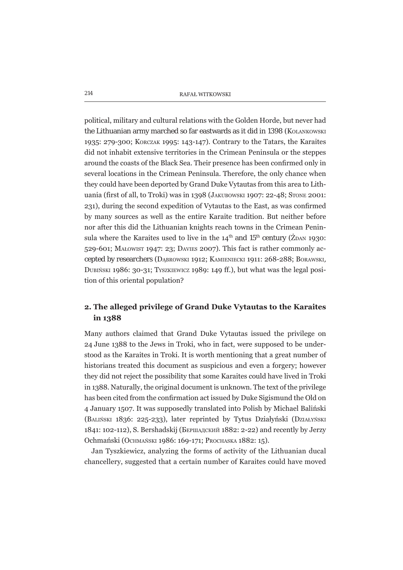political, military and cultural relations with the Golden Horde, but never had the Lithuanian army marched so far eastwards as it did in 1398 (KOLANKOWSKI 1935: 279-300; KORCZAK 1995: 143-147). Contrary to the Tatars, the Karaites did not inhabit extensive territories in the Crimean Peninsula or the steppes around the coasts of the Black Sea. Their presence has been confirmed only in several locations in the Crimean Peninsula. Therefore, the only chance when they could have been deported by Grand Duke Vytautas from this area to Lithuania (first of all, to Troki) was in 1398 (JAKUBOWSKI 1907: 22-48; STONE 2001: 231), during the second expedition of Vytautas to the East, as was confirmed by many sources as well as the entire Karaite tradition. But neither before nor after this did the Lithuanian knights reach towns in the Crimean Peninsula where the Karaites used to live in the  $14<sup>th</sup>$  and  $15<sup>th</sup>$  century ( $\dot{Z}_{DAN}$  1930: 529-601; MAŁOWIST 1947; 23; DAVIES 2007). This fact is rather commonly accepted by researchers (DABROWSKI 1912; KAMIENIECKI 1911: 268-288; BORAWSKI, DUBIŃSKI 1986: 30-31; TYSZKIEWICZ 1989: 149 ff.), but what was the legal position of this oriental population?

## 2. The alleged privilege of Grand Duke Vytautas to the Karaites in 1388

Many authors claimed that Grand Duke Vytautas issued the privilege on 24 June 1388 to the Jews in Troki, who in fact, were supposed to be understood as the Karaites in Troki. It is worth mentioning that a great number of historians treated this document as suspicious and even a forgery; however they did not reject the possibility that some Karaites could have lived in Troki in 1388. Naturally, the original document is unknown. The text of the privilege has been cited from the confirmation act issued by Duke Sigismund the Old on 4 January 1507. It was supposedly translated into Polish by Michael Balinski (BALIŃSKI 1836: 225-233), later reprinted by Tytus Działyński (Działyński 1841: 102-112), S. Bershadskij (Бершадский 1882: 2-22) and recently by Jerzy Ochmański (Оснмайзки 1986: 169-171; Рвосназка 1882: 15).

Jan Tyszkiewicz, analyzing the forms of activity of the Lithuanian ducal chancellery, suggested that a certain number of Karaites could have moved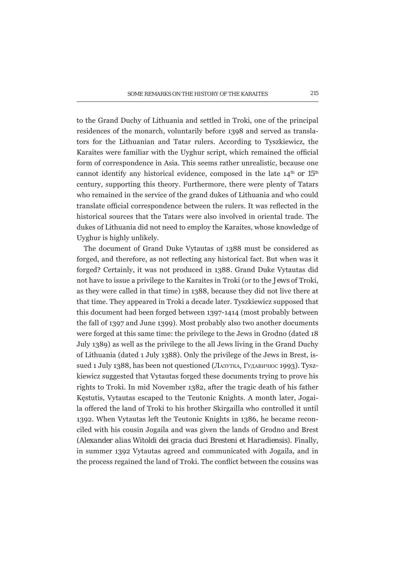to the Grand Duchy of Lithuania and settled in Troki, one of the principal residences of the monarch, voluntarily before 1398 and served as translators for the Lithuanian and Tatar rulers. According to Tyszkiewicz, the Karaites were familiar with the Uvghur script, which remained the official form of correspondence in Asia. This seems rather unrealistic, because one cannot identify any historical evidence, composed in the late 14<sup>th</sup> or 15<sup>th</sup> century, supporting this theory. Furthermore, there were plenty of Tatars who remained in the service of the grand dukes of Lithuania and who could translate official correspondence between the rulers. It was reflected in the historical sources that the Tatars were also involved in oriental trade. The dukes of Lithuania did not need to employ the Karaites, whose knowledge of Uvghur is highly unlikely.

The document of Grand Duke Vytautas of 1388 must be considered as forged, and therefore, as not reflecting any historical fact. But when was it forged? Certainly, it was not produced in 1388. Grand Duke Vytautas did not have to issue a privilege to the Karaites in Troki (or to the *Jews* of Troki, as they were called in that time) in 1388, because they did not live there at that time. They appeared in Troki a decade later. Tyszkiewicz supposed that this document had been forged between 1397-1414 (most probably between the fall of 1397 and June 1399). Most probably also two another documents were forged at this same time: the privilege to the Jews in Grodno (dated 18) July 1389) as well as the privilege to the all Jews living in the Grand Duchy of Lithuania (dated 1 July 1388). Only the privilege of the Jews in Brest, issued 1 July 1388, has been not questioned (Лазутка, Гудавичюс 1993). Tyszkiewicz suggested that Vytautas forged these documents trying to prove his rights to Troki. In mid November 1382, after the tragic death of his father Kestutis, Vytautas escaped to the Teutonic Knights. A month later, Jogaila offered the land of Troki to his brother Skirgailla who controlled it until 1392. When Vytautas left the Teutonic Knights in 1386, he became reconciled with his cousin Jogaila and was given the lands of Grodno and Brest (Alexander alias Witoldi dei gracia duci Bresteni et Haradiensis). Finally, in summer 1392 Vytautas agreed and communicated with Jogaila, and in the process regained the land of Troki. The conflict between the cousins was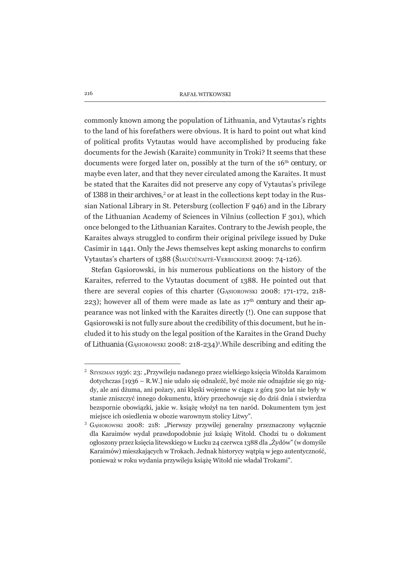commonly known among the population of Lithuania, and Vytautas's rights to the land of his forefathers were obvious. It is hard to point out what kind of political profits Vytautas would have accomplished by producing fake documents for the Jewish (Karaite) community in Troki? It seems that these documents were forged later on, possibly at the turn of the 16<sup>th</sup> century, or maybe even later, and that they never circulated among the Karaites. It must be stated that the Karaites did not preserve any copy of Vytautas's privilege of 1388 in their archives,<sup>2</sup> or at least in the collections kept today in the Russian National Library in St. Petersburg (collection F 946) and in the Library of the Lithuanian Academy of Sciences in Vilnius (collection F 301), which once belonged to the Lithuanian Karaites. Contrary to the Jewish people, the Karaites always struggled to confirm their original privilege issued by Duke Casimir in 1441. Only the Jews themselves kept asking monarchs to confirm Vytautas's charters of 1388 (ŠIAUČIŪNAITĖ-VERBICKIENĖ 2009: 74-126).

Stefan Gasiorowski, in his numerous publications on the history of the Karaites, referred to the Vytautas document of 1388. He pointed out that there are several copies of this charter (GASIOROWSKI 2008: 171-172, 218-223); however all of them were made as late as  $17<sup>th</sup>$  century and their appearance was not linked with the Karaites directly (!). One can suppose that Gasiorowski is not fully sure about the credibility of this document, but he included it to his study on the legal position of the Karaites in the Grand Duchy of Lithuania (GASIOROWSKI 2008: 218-234)<sup>3</sup>. While describing and editing the

<sup>&</sup>lt;sup>2</sup> SZYSZMAN 1936: 23: "Przywileju nadanego przez wielkiego księcia Witolda Karaimom dotychczas [1936 – R.W.] nie udało się odnaleźć, być może nie odnajdzie się go nigdv, ale ani dżuma, ani pożary, ani klęski wojenne w ciągu z górą 500 lat nie były w stanie zniszczyć innego dokumentu, który przechowuje się do dziś dnia i stwierdza bezspornie obowiązki, jakie w. książę włożył na ten naród. Dokumentem tym jest miejsce ich osiedlenia w obozie warownym stolicy Litwy".

GASIOROWSKI 2008: 218: "Pierwszy przywilej generalny przeznaczony wyłącznie dla Karaimów wydał prawdopodobnie już książę Witold. Chodzi tu o dokument ogłoszony przez księcia litewskiego w Łucku 24 czerwca 1388 dla "Żydów" (w domyśle Karaimów) mieszkających w Trokach. Jednak historycy wątpią w jego autentyczność, ponieważ w roku wydania przywileju książę Witold nie władał Trokami".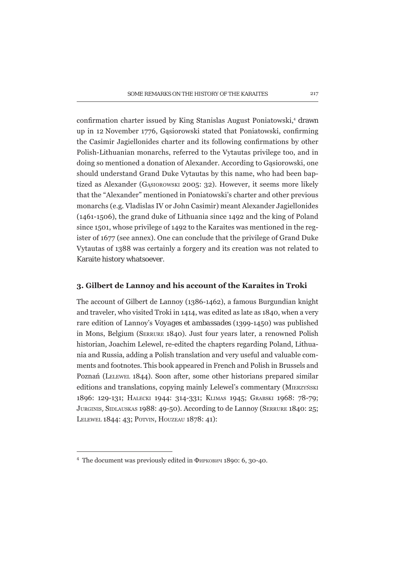confirmation charter issued by King Stanislas August Poniatowski,<sup>4</sup> drawn up in 12 November 1776, Gasiorowski stated that Poniatowski, confirming the Casimir Jagiellonides charter and its following confirmations by other Polish-Lithuanian monarchs, referred to the Vytautas privilege too, and in doing so mentioned a donation of Alexander. According to Gasiorowski, one should understand Grand Duke Vytautas by this name, who had been baptized as Alexander (GASIOROWSKI 2005: 32). However, it seems more likely that the "Alexander" mentioned in Poniatowski's charter and other previous monarchs (e.g. Vladislas IV or John Casimir) meant Alexander Jagiellonides (1461-1506), the grand duke of Lithuania since 1492 and the king of Poland since 1501, whose privilege of 1492 to the Karaites was mentioned in the register of 1677 (see annex). One can conclude that the privilege of Grand Duke Vytautas of 1388 was certainly a forgery and its creation was not related to Karaite history whatsoever.

## 3. Gilbert de Lannoy and his account of the Karaites in Troki

The account of Gilbert de Lannov (1386-1462), a famous Burgundian knight and traveler, who visited Troki in 1414, was edited as late as 1840, when a very rare edition of Lannov's *Vovages et ambassades* (1399-1450) was published in Mons, Belgium (SERRURE 1840). Just four years later, a renowned Polish historian, Joachim Lelewel, re-edited the chapters regarding Poland, Lithuania and Russia, adding a Polish translation and very useful and valuable comments and footnotes. This book appeared in French and Polish in Brussels and Poznań (LELEWEL 1844). Soon after, some other historians prepared similar editions and translations, copying mainly Lelewel's commentary (MIERZYŃSKI 1896: 129-131; НАLECKI 1944: 314-331; КЫМАS 1945; GRABSKI 1968: 78-79; JURGINIS, SIDLAUSKAS 1988: 49-50). According to de Lannov (SERRURE 1840: 25; LELEWEL 1844: 43: POTVIN, HOUZEAU 1878: 41):

<sup>&</sup>lt;sup>4</sup> The document was previously edited in Фиркович 1890: 6, 30-40.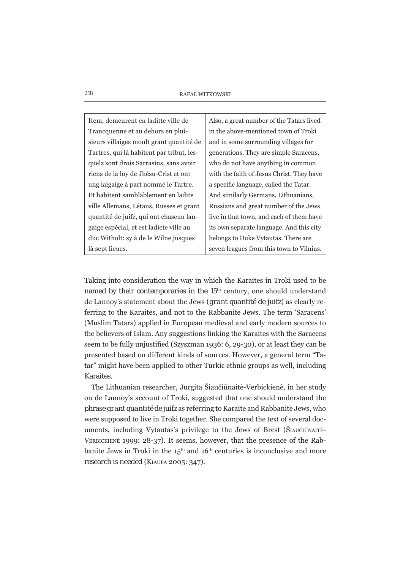| Item, demeurent en laditte ville de       | Also, a great number of the Tatars lived  |
|-------------------------------------------|-------------------------------------------|
| Trancquenne et au dehors en plui-         | in the above-mentioned town of Troki      |
| sieurs villaiges moult grant quantité de  | and in some surrounding villages for      |
| Tartres, qui là habitent par tribut, les- | generations. They are simple Saracens,    |
| quelz sont drois Sarrasins, sans avoir    | who do not have anything in common        |
| riens de la loy de Jhésu-Crist et ont     | with the faith of Jesus Christ. They have |
| ung laigaige à part nommé le Tartre.      | a specific language, called the Tatar.    |
| Et habitent samblablement en ladite       | And similarly Germans, Lithuanians,       |
| ville Allemans, Létaus, Russes et grant   | Russians and great number of the Jews     |
| quantité de juifz, qui ont chascun lan-   | live in that town, and each of them have  |
| gaige espécial, et est ladicte ville au   | its own separate language. And this city  |
| duc Witholt: sy à de le Wilne jusques     | belongs to Duke Vytautas. There are       |
| là sept lieues.                           | seven leagues from this town to Vilnius.  |

Taking into consideration the way in which the Karaites in Troki used to be named by their contemporaries in the 15<sup>th</sup> century, one should understand de Lannov's statement about the Jews (*grant quantité de juifz*) as clearly referring to the Karaites, and not to the Rabbanite Jews. The term 'Saracens' (Muslim Tatars) applied in European medieval and early modern sources to the believers of Islam. Any suggestions linking the Karaites with the Saracens seem to be fully unjustified (Szyszman 1936: 6, 29-30), or at least they can be presented based on different kinds of sources. However, a general term "Tatar" might have been applied to other Turkic ethnic groups as well, including Karaites.

The Lithuanian researcher, Jurgita Šiaučiūnaitė-Verbickienė, in her study on de Lannoy's account of Troki, suggested that one should understand the phrase *grant quantité de juifz* as referring to Karaite and Rabbanite Jews, who were supposed to live in Troki together. She compared the text of several documents, including Vytautas's privilege to the Jews of Brest (ŠIAUČIŪNAITĖ-VERBICKIENĖ 1999: 28-37). It seems, however, that the presence of the Rabbanite Jews in Troki in the  $15<sup>th</sup>$  and  $16<sup>th</sup>$  centuries is inconclusive and more research is needed (KIAUPA 2005: 347).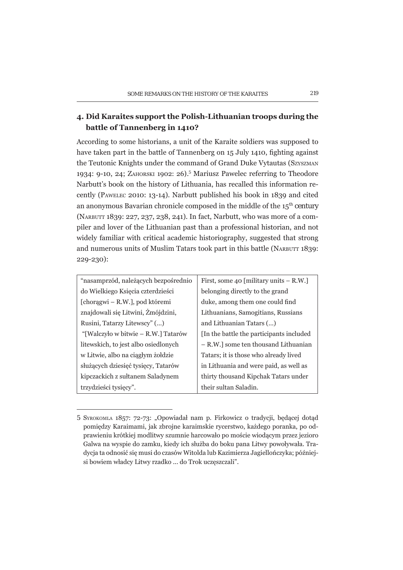# 4. Did Karaites support the Polish-Lithuanian troops during the battle of Tannenberg in 1410?

According to some historians, a unit of the Karaite soldiers was supposed to have taken part in the battle of Tannenberg on 15 July 1410, fighting against the Teutonic Knights under the command of Grand Duke Vytautas (SZYSZMAN 1934: 9-10, 24; ZAHORSKI 1902: 26).<sup>5</sup> Mariusz Pawelec referring to Theodore Narbutt's book on the history of Lithuania, has recalled this information recently (PAWELEC 2010: 13-14). Narbutt published his book in 1839 and cited an anonymous Bavarian chronicle composed in the middle of the  $15<sup>th</sup>$  century (NARBUTT 1839: 227, 237, 238, 241). In fact, Narbutt, who was more of a compiler and lover of the Lithuanian past than a professional historian, and not widely familiar with critical academic historiography, suggested that strong and numerous units of Muslim Tatars took part in this battle (NARBUTT 1839: 229-230):

| "nasamprzód, należących bezpośrednio | First, some 40 [military units – R.W.]    |
|--------------------------------------|-------------------------------------------|
| do Wielkiego Księcia czterdzieści    | belonging directly to the grand           |
| [choragwi – R.W.], pod któremi       | duke, among them one could find           |
| znajdowali się Litwini, Żmójdzini,   | Lithuanians, Samogitians, Russians        |
| Rusini, Tatarzy Litewscy" ()         | and Lithuanian Tatars ()                  |
| "[Walczyło w bitwie – R.W.] Tatarów  | [In the battle the participants included] |
| litewskich, to jest albo osiedlonych | - R.W.] some ten thousand Lithuanian      |
| w Litwie, albo na ciągłym żołdzie    | Tatars; it is those who already lived     |
| służących dziesięć tysięcy, Tatarów  | in Lithuania and were paid, as well as    |
| kipczackich z sułtanem Saladynem     | thirty thousand Kipchak Tatars under      |
| trzydzieści tysięcy".                | their sultan Saladin.                     |

<sup>5</sup> SYROKOMLA 1857: 72-73: "Opowiadał nam p. Firkowicz o tradycji, będącej dotąd pomiędzy Karaimami, jak zbrojne karaimskie rycerstwo, każdego poranka, po odprawieniu krótkiej modlitwy szumnie harcowało po moście wiodącym przez jezioro Galwa na wyspie do zamku, kiedy ich służba do boku pana Litwy powoływała. Tradycja ta odnosić się musi do czasów Witolda lub Kazimierza Jagiellończyka; późniejsi bowiem władcy Litwy rzadko ... do Trok uczęszczali".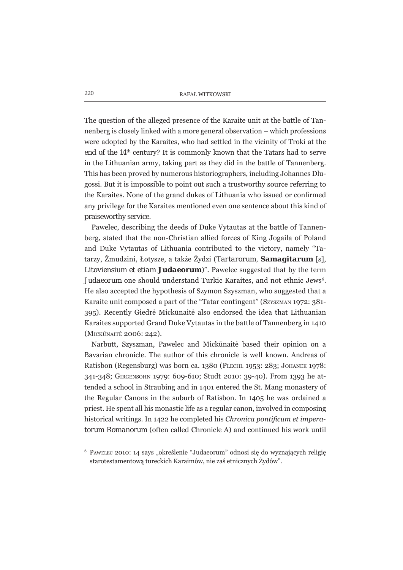The question of the alleged presence of the Karaite unit at the battle of Tannenberg is closely linked with a more general observation – which professions were adopted by the Karaites, who had settled in the vicinity of Troki at the end of the 14<sup>th</sup> century? It is commonly known that the Tatars had to serve in the Lithuanian army, taking part as they did in the battle of Tannenberg. This has been proved by numerous historiographers, including Johannes Dlugossi. But it is impossible to point out such a trustworthy source referring to the Karaites. None of the grand dukes of Lithuania who issued or confirmed any privilege for the Karaites mentioned even one sentence about this kind of praiseworthy service.

Pawelec, describing the deeds of Duke Vytautas at the battle of Tannenberg, stated that the non-Christian allied forces of King Jogaila of Poland and Duke Vytautas of Lithuania contributed to the victory, namely "Tatarzy, Żmudzini, Łotysze, a także Żydzi (*Tartarorum*, **Samagitarum** [s], Litoviensium et etiam Judaeorum)". Pawelec suggested that by the term *Judaeorum* one should understand Turkic Karaites, and not ethnic Jews<sup>6</sup>. He also accepted the hypothesis of Szymon Szyszman, who suggested that a Karaite unit composed a part of the "Tatar contingent" (SZYSZMAN 1972: 381-395). Recently Giedrė Mickūnaitė also endorsed the idea that Lithuanian Karaites supported Grand Duke Vytautas in the battle of Tannenberg in 1410 (MICKŪNAITĖ 2006: 242).

Narbutt, Szyszman, Pawelec and Mickūnaitė based their opinion on a Bavarian chronicle. The author of this chronicle is well known. Andreas of Ratisbon (Regensburg) was born ca. 1380 (PLECHL 1953: 283; JOHANEK 1978: 341-348; GIRGENSOHN 1979: 609-610; Studt 2010: 39-40). From 1393 he attended a school in Straubing and in 1401 entered the St. Mang monastery of the Regular Canons in the suburb of Ratisbon. In 1405 he was ordained a priest. He spent all his monastic life as a regular canon, involved in composing historical writings. In 1422 he completed his Chronica pontificum et impera*torum Romanorum* (often called Chronicle A) and continued his work until

<sup>&</sup>lt;sup>6</sup> PAWELEC 2010: 14 says "określenie "Judaeorum" odnosi się do wyznających religię starotestamentową tureckich Karaimów, nie zaś etnicznych Żydów".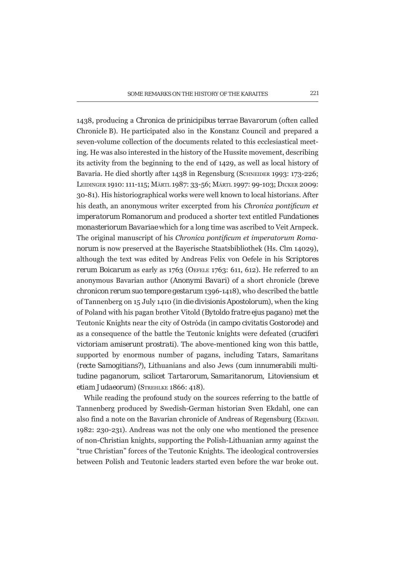1438, producing a Chronica de prinicipibus terrae Bavarorum (often called Chronicle B). He participated also in the Konstanz Council and prepared a seven-volume collection of the documents related to this ecclesiastical meeting. He was also interested in the history of the Hussite movement, describing its activity from the beginning to the end of 1429, as well as local history of Bavaria. He died shortly after 1438 in Regensburg (SCHNEIDER 1993: 173-226; LEIDINGER 1910: 111-115; MÄRTL 1987: 33-56; MÄRTL 1997: 99-103; DICKER 2009: 30-81). His historiographical works were well known to local historians. After his death, an anonymous writer excerpted from his Chronica pontificum et imperatorum Romanorum and produced a shorter text entitled Fundationes *monasteriorum Bavariae* which for a long time was ascribed to Veit Arnpeck. The original manuscript of his Chronica pontificum et imperatorum Roma*norum* is now preserved at the Baverische Staatsbibliothek (Hs. Clm 14029). although the text was edited by Andreas Felix von Oefele in his Scriptores rerum Boicarum as early as 1763 (OEFELE 1763: 611, 612). He referred to an anonymous Bavarian author (Anonymi Bavari) of a short chronicle (breve chronicon rerum suo tempore gestarum 1396-1418), who described the battle of Tannenberg on 15 July 1410 (*in die divisionis Apostolorum*), when the king of Poland with his pagan brother Vitold (Bytoldo fratre ejus pagano) met the Teutonic Knights near the city of Ostróda (in campo civitatis Gostorode) and as a consequence of the battle the Teutonic knights were defeated (cruciferi victoriam amiserunt prostrati). The above-mentioned king won this battle, supported by enormous number of pagans, including Tatars, Samaritans (recte Samogitians?), Lithuanians and also Jews (cum innumerabili multitudine paganorum, scilicet Tartarorum, Samaritanorum, Litoviensium et etiam Judaeorum) (STREHLKE 1866: 418).

While reading the profound study on the sources referring to the battle of Tannenberg produced by Swedish-German historian Sven Ekdahl, one can also find a note on the Bavarian chronicle of Andreas of Regensburg (EKDAHL 1982: 230-231). Andreas was not the only one who mentioned the presence of non-Christian knights, supporting the Polish-Lithuanian army against the "true Christian" forces of the Teutonic Knights. The ideological controversies between Polish and Teutonic leaders started even before the war broke out.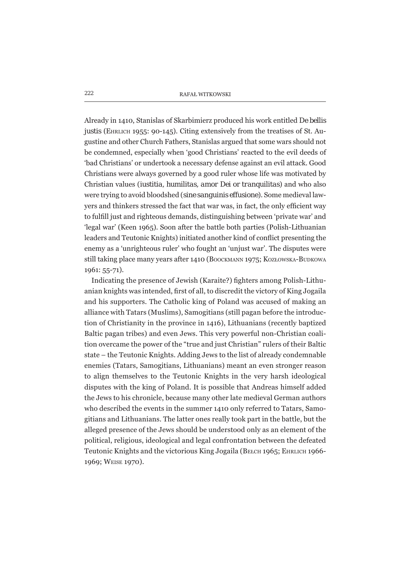Already in 1410, Stanislas of Skarbimierz produced his work entitled De bellis *justis* (EHRLICH 1955: 90-145). Citing extensively from the treatises of St. Augustine and other Church Fathers, Stanislas argued that some wars should not be condemned, especially when 'good Christians' reacted to the evil deeds of 'bad Christians' or undertook a necessary defense against an evil attack. Good Christians were always governed by a good ruler whose life was motivated by Christian values (*iustitia, humilitas, amor Dei* or *tranguilitas*) and who also were trying to avoid bloodshed (sine sanquinis effusione). Some medieval lawyers and thinkers stressed the fact that war was, in fact, the only efficient way to fulfill just and righteous demands, distinguishing between 'private war' and 'legal war' (Keen 1965). Soon after the battle both parties (Polish-Lithuanian leaders and Teutonic Knights) initiated another kind of conflict presenting the enemy as a 'unrighteous ruler' who fought an 'uniust war'. The disputes were still taking place many years after 1410 (BOOCKMANN 1975; KOZŁOWSKA-BUDKOWA  $1961: 55 - 71$ ).

Indicating the presence of Jewish (Karaite?) fighters among Polish-Lithuanian knights was intended, first of all, to discredit the victory of King Jogaila and his supporters. The Catholic king of Poland was accused of making an alliance with Tatars (Muslims), Samogitians (still pagan before the introduction of Christianity in the province in 1416). Lithuanians (recently baptized Baltic pagan tribes) and even Jews. This very powerful non-Christian coalition overcame the power of the "true and just Christian" rulers of their Baltic state – the Teutonic Knights. Adding Jews to the list of already condemnable enemies (Tatars, Samogitians, Lithuanians) meant an even stronger reason to align themselves to the Teutonic Knights in the very harsh ideological disputes with the king of Poland. It is possible that Andreas himself added the Jews to his chronicle, because many other late medieval German authors who described the events in the summer 1410 only referred to Tatars, Samogitians and Lithuanians. The latter ones really took part in the battle, but the alleged presence of the Jews should be understood only as an element of the political, religious, ideological and legal confrontation between the defeated Teutonic Knights and the victorious King Jogaila (BELCH 1965; EHRLICH 1966-1969; WEISE 1970).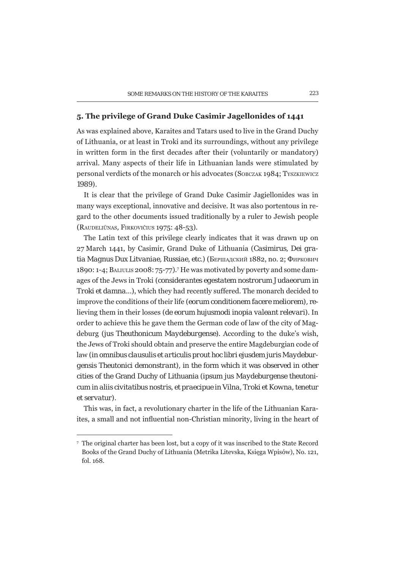## 5. The privilege of Grand Duke Casimir Jagellonides of 1441

As was explained above, Karaites and Tatars used to live in the Grand Duchy of Lithuania, or at least in Troki and its surroundings, without any privilege in written form in the first decades after their (voluntarily or mandatory) arrival. Many aspects of their life in Lithuanian lands were stimulated by personal verdicts of the monarch or his advocates (SOBCZAK 1984; TYSZKIEWICZ 1989).

It is clear that the privilege of Grand Duke Casimir Jagiellonides was in many ways exceptional, innovative and decisive. It was also portentous in regard to the other documents issued traditionally by a ruler to Jewish people (RAUDELIŪNAS, FIRKOVIČIUS 1975; 48-53).

The Latin text of this privilege clearly indicates that it was drawn up on 27 March 1441, by Casimir, Grand Duke of Lithuania (Casimirus, Dei gratia Magnus Dux Litvaniae, Russiae, etc.) (Бершадский 1882, no. 2; Фиркович 1890: 1-4; BALIULIS 2008: 75-77).<sup>7</sup> He was motivated by poverty and some damages of the Jews in Troki (considerantes egestatem nostrorum Judaeorum in Troki et damna...), which they had recently suffered. The monarch decided to improve the conditions of their life *(eorum conditionem facere meliorem)*, relieving them in their losses (de eorum hujusmodi inopia valeant relevari). In order to achieve this he gave them the German code of law of the city of Magdeburg *(jus Theuthonicum Maydeburgense)*. According to the duke's wish, the Jews of Troki should obtain and preserve the entire Magdeburgian code of law (in omnibus clausulis et articulis prout hoc libri ejusdem juris Maydeburgensis Theutonici demonstrant), in the form which it was observed in other cities of the Grand Duchy of Lithuania (ipsum jus Maydeburgense theutonicum in aliis civitatibus nostris, et praecipue in Vilna, Troki et Kowna, tenetur et servatur).

This was, in fact, a revolutionary charter in the life of the Lithuanian Karaites, a small and not influential non-Christian minority, living in the heart of

<sup>7</sup> The original charter has been lost, but a copy of it was inscribed to the State Record Books of the Grand Duchy of Lithuania (Metrika Litevska, Księga Wpisów), No. 121, fol. 168.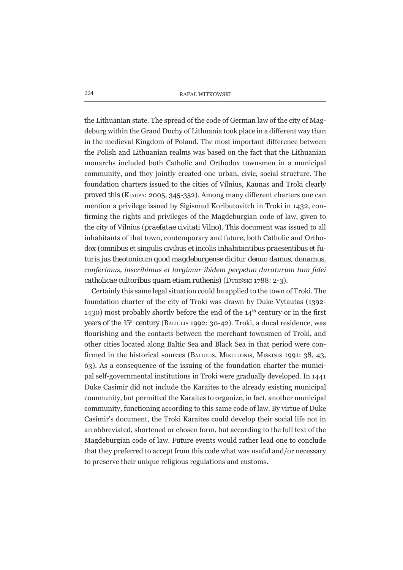the Lithuanian state. The spread of the code of German law of the city of Magdeburg within the Grand Duchy of Lithuania took place in a different way than in the medieval Kingdom of Poland. The most important difference between the Polish and Lithuanian realms was based on the fact that the Lithuanian monarchs included both Catholic and Orthodox townsmen in a municipal community, and they jointly created one urban, civic, social structure. The foundation charters issued to the cities of Vilnius, Kaunas and Troki clearly proved this (KIAUPA: 2005, 345-352). Among many different charters one can mention a privilege issued by Sigismud Koributovitch in Troki in 1432, confirming the rights and privileges of the Magdeburgian code of law, given to the city of Vilnius (*praefatae civitati Vilno*). This document was issued to all inhabitants of that town, contemporary and future, both Catholic and Orthodox (omnibus et singulis civibus et incolis inhabitantibus praesentibus et futuris jus theotonicum quod magdeburgense dicitur denuo damus, donamus, conferimus, inscribimus et largimur ibidem perpetuo duraturum tam fidei catholicae cultoribus quam etiam ruthenis) (DUBIŃSKI 1788: 2-3).

Certainly this same legal situation could be applied to the town of Troki. The foundation charter of the city of Troki was drawn by Duke Vytautas (1392-1430) most probably shortly before the end of the  $14<sup>th</sup>$  century or in the first years of the 15<sup>th</sup> century (BALIULIS 1992: 30-42). Troki, a ducal residence, was flourishing and the contacts between the merchant townsmen of Troki, and other cities located along Baltic Sea and Black Sea in that period were confirmed in the historical sources (BALIULIS, MIKULIONIS, MIŠKINIS 1991: 38, 43, 63). As a consequence of the issuing of the foundation charter the municipal self-governmental institutions in Troki were gradually developed. In 1441 Duke Casimir did not include the Karaites to the already existing municipal community, but permitted the Karaites to organize, in fact, another municipal community, functioning according to this same code of law. By virtue of Duke Casimir's document, the Troki Karaites could develop their social life not in an abbreviated, shortened or chosen form, but according to the full text of the Magdeburgian code of law. Future events would rather lead one to conclude that they preferred to accept from this code what was useful and/or necessary to preserve their unique religious regulations and customs.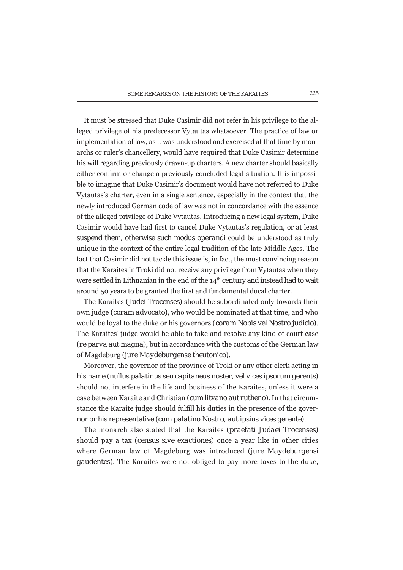It must be stressed that Duke Casimir did not refer in his privilege to the alleged privilege of his predecessor Vytautas whatsoever. The practice of law or implementation of law, as it was understood and exercised at that time by monarchs or ruler's chancellery, would have required that Duke Casimir determine his will regarding previously drawn-up charters. A new charter should basically either confirm or change a previously concluded legal situation. It is impossible to imagine that Duke Casimir's document would have not referred to Duke Vytautas's charter, even in a single sentence, especially in the context that the newly introduced German code of law was not in concordance with the essence of the alleged privilege of Duke Vytautas. Introducing a new legal system, Duke Casimir would have had first to cancel Duke Vytautas's regulation, or at least suspend them, otherwise such *modus operandi* could be understood as truly unique in the context of the entire legal tradition of the late Middle Ages. The fact that Casimir did not tackle this issue is, in fact, the most convincing reason that the Karaites in Troki did not receive any privilege from Vytautas when they were settled in Lithuanian in the end of the 14<sup>th</sup> century and instead had to wait around 50 years to be granted the first and fundamental ducal charter.

The Karaites (*Judei Trocenses*) should be subordinated only towards their own judge (coram advocato), who would be nominated at that time, and who would be loval to the duke or his governors (coram Nobis vel Nostro judicio). The Karaites' judge would be able to take and resolve any kind of court case (re parva aut magna), but in accordance with the customs of the German law of Magdeburg (jure Maydeburgense theutonico).

Moreover, the governor of the province of Troki or any other clerk acting in his name (nullus palatinus seu capitaneus noster, vel vices ipsorum gerents) should not interfere in the life and business of the Karaites, unless it were a case between Karaite and Christian (*cum litvano aut rutheno*). In that circumstance the Karaite judge should fulfill his duties in the presence of the governor or his representative (cum palatino Nostro, aut ipsius vices gerente).

The monarch also stated that the Karaites (praefati Judaei Trocenses) should pay a tax (census sive exactiones) once a year like in other cities where German law of Magdeburg was introduced (jure Maydeburgensi *gaudentes*). The Karaites were not obliged to pay more taxes to the duke,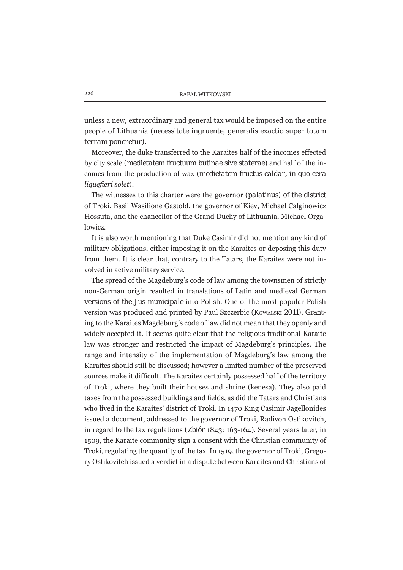unless a new, extraordinary and general tax would be imposed on the entire people of Lithuania (necessitate ingruente, generalis exactio super totam terram poneretur).

Moreover, the duke transferred to the Karaites half of the incomes effected by city scale (*medietatem fructuum butinae sive staterae*) and half of the incomes from the production of wax (medietatem fructus caldar, in quo cera liquefieri solet).

The witnesses to this charter were the governor (palatinus) of the district of Troki, Basil Wasilione Gastold, the governor of Kiev, Michael Calginowicz Hossuta, and the chancellor of the Grand Duchy of Lithuania, Michael Orgalowicz.

It is also worth mentioning that Duke Casimir did not mention any kind of military obligations, either imposing it on the Karaites or deposing this duty from them. It is clear that, contrary to the Tatars, the Karaites were not involved in active military service.

The spread of the Magdeburg's code of law among the townsmen of strictly non-German origin resulted in translations of Latin and medieval German versions of the *Jus municipale* into Polish. One of the most popular Polish version was produced and printed by Paul Szczerbic (Kowalski 2011). Granting to the Karaites Magdeburg's code of law did not mean that they openly and widely accepted it. It seems quite clear that the religious traditional Karaite law was stronger and restricted the impact of Magdeburg's principles. The range and intensity of the implementation of Magdeburg's law among the Karaites should still be discussed; however a limited number of the preserved sources make it difficult. The Karaites certainly possessed half of the territory of Troki, where they built their houses and shrine (kenesa). They also paid taxes from the possessed buildings and fields, as did the Tatars and Christians who lived in the Karaites' district of Troki. In 1470 King Casimir Jagellonides issued a document, addressed to the governor of Troki, Radivon Ostikovitch, in regard to the tax regulations (Zbiór 1843: 163-164). Several years later, in 1509, the Karaite community sign a consent with the Christian community of Troki, regulating the quantity of the tax. In 1519, the governor of Troki, Gregory Ostikovitch issued a verdict in a dispute between Karaites and Christians of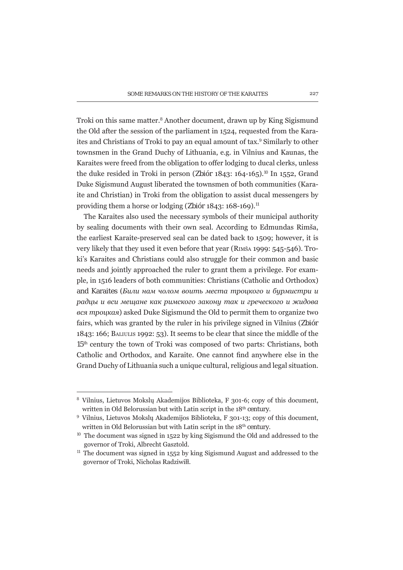Troki on this same matter.<sup>8</sup> Another document, drawn up by King Sigismund the Old after the session of the parliament in 1524, requested from the Karaites and Christians of Troki to pay an equal amount of tax.<sup>9</sup> Similarly to other townsmen in the Grand Duchy of Lithuania, e.g. in Vilnius and Kaunas, the Karaites were freed from the obligation to offer lodging to ducal clerks, unless the duke resided in Troki in person (Zbiór 1843: 164-165).<sup>10</sup> In 1552, Grand Duke Sigismund August liberated the townsmen of both communities (Karaite and Christian) in Troki from the obligation to assist ducal messengers by providing them a horse or lodging (Zbiór 1843: 168-169).<sup>11</sup>

The Karaites also used the necessary symbols of their municipal authority by sealing documents with their own seal. According to Edmundas Rimša, the earliest Karaite-preserved seal can be dated back to 1509; however, it is very likely that they used it even before that year (RIMŠA 1999; 545-546). Troki's Karaites and Christians could also struggle for their common and basic needs and jointly approached the ruler to grant them a privilege. For example, in 1516 leaders of both communities: Christians (Catholic and Orthodox) and Karaites (Били нам чолом воить места троцкого и бурмистри и радиы и вси мешане как римского закони так и греческого и жидова вся троцкая) asked Duke Sigismund the Old to permit them to organize two fairs, which was granted by the ruler in his privilege signed in Vilnius (Zbior 1843: 166; BALIULIS 1992: 53). It seems to be clear that since the middle of the 15<sup>th</sup> century the town of Troki was composed of two parts: Christians, both Catholic and Orthodox, and Karaite. One cannot find anywhere else in the Grand Duchy of Lithuania such a unique cultural, religious and legal situation.

<sup>&</sup>lt;sup>8</sup> Vilnius, Lietuvos Mokslų Akademijos Biblioteka, F 301-6; copy of this document, written in Old Belorussian but with Latin script in the 18<sup>th</sup> century.

<sup>&</sup>lt;sup>9</sup> Vilnius, Lietuvos Mokslų Akademijos Biblioteka, F 301-13; copy of this document, written in Old Belorussian but with Latin script in the 18<sup>th</sup> century.

<sup>&</sup>lt;sup>10</sup> The document was signed in 1522 by king Sigismund the Old and addressed to the governor of Troki, Albrecht Gasztold.

<sup>&</sup>lt;sup>11</sup> The document was signed in 1552 by king Sigismund August and addressed to the governor of Troki, Nicholas Radziwiłł.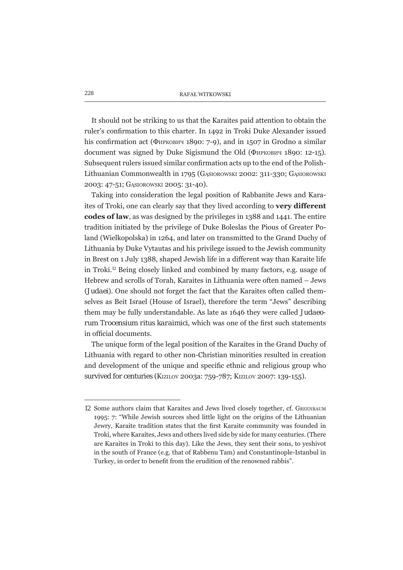It should not be striking to us that the Karaites paid attention to obtain the ruler's confirmation to this charter. In 1492 in Troki Duke Alexander issued his confirmation act (Фиркович 1890: 7-9), and in 1507 in Grodno a similar document was signed by Duke Sigismund the Old (Фиркович 1890: 12-15). Subsequent rulers issued similar confirmation acts up to the end of the Polish-Lithuanian Commonwealth in 1795 (GASIOROWSKI 2002: 311-330; GASIOROWSKI 2003: 47-51; GASIOROWSKI 2005: 31-40).

Taking into consideration the legal position of Rabbanite Jews and Karaites of Troki, one can clearly say that they lived according to very different codes of law, as was designed by the privileges in 1388 and 1441. The entire tradition initiated by the privilege of Duke Boleslas the Pious of Greater Poland (Wielkopolska) in 1264, and later on transmitted to the Grand Duchy of Lithuania by Duke Vytautas and his privilege issued to the Jewish community in Brest on 1 July 1388, shaped Jewish life in a different way than Karaite life in Troki.<sup>12</sup> Being closely linked and combined by many factors, e.g. usage of Hebrew and scrolls of Torah, Karaites in Lithuania were often named - Jews (Judaei). One should not forget the fact that the Karaites often called themselves as Beit Israel (House of Israel), therefore the term "Jews" describing them may be fully understandable. As late as 1646 they were called Judaeorum Trocensium ritus karaimici, which was one of the first such statements in official documents.

The unique form of the legal position of the Karaites in the Grand Duchy of Lithuania with regard to other non-Christian minorities resulted in creation and development of the unique and specific ethnic and religious group who survived for centuries (KIZILOV 2003a: 759-787; KIZILOV 2007: 139-155).

<sup>12</sup> Some authors claim that Karaites and Jews lived closely together, cf. GREENBAUM 1995: 7: "While Jewish sources shed little light on the origins of the Lithuanian Jewry, Karaite tradition states that the first Karaite community was founded in Troki, where Karaites, Jews and others lived side by side for many centuries. (There are Karaites in Troki to this day). Like the Jews, they sent their sons, to yeshivot in the south of France (e.g. that of Rabbenu Tam) and Constantinople-Istanbul in Turkey, in order to benefit from the erudition of the renowned rabbis".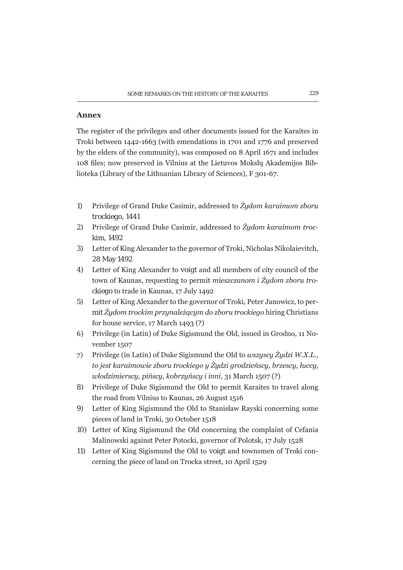## **Annex**

The register of the privileges and other documents issued for the Karaites in Troki between 1442-1663 (with emendations in 1701 and 1776 and preserved by the elders of the community), was composed on 8 April 1671 and includes 108 files; now preserved in Vilnius at the Lietuvos Mokslų Akademijos Biblioteka (Library of the Lithuanian Library of Sciences), F 301-67.

- $1)$ Privilege of Grand Duke Casimir, addressed to  $\dot{Z}y$ dom karaimom zboru trockiego, 1441
- Privilege of Grand Duke Casimir, addressed to  $\dot{Z}y$ dom karaimom troc- $(2)$ kim. 1492
- 3) Letter of King Alexander to the governor of Troki, Nicholas Nikolaievitch, 28 May 1492
- 4) Letter of King Alexander to *voigt* and all members of city council of the town of Kaunas, requesting to permit mieszczanom i Żydom zboru trockiego to trade in Kaunas, 17 July 1492
- Letter of King Alexander to the governor of Troki, Peter Janowicz, to per- $5)$ mit  $\dot{Z}y$ dom trockim przynależącym do zboru trockiego hiring Christians for house service, 17 March 1493 (?)
- 6) Privilege (in Latin) of Duke Sigismund the Old, issued in Grodno, 11 November 1507
- Privilege (in Latin) of Duke Sigismund the Old to *wszyscy Żydzi W.X.L.*, 7) to jest karaimowie zboru trockiego y Żydzi grodzieńscy, brzescy, łuccy, włodzimierscy, pińscy, kobrzyńscy i inni, 31 March 1507 (?)
- Privilege of Duke Sigismund the Old to permit Karaites to travel along 8) the road from Vilnius to Kaunas, 26 August 1516
- 9) Letter of King Sigismund the Old to Stanisław Rayski concerning some pieces of land in Troki, 30 October 1518
- 10) Letter of King Sigismund the Old concerning the complaint of Cefania Malinowski against Peter Potocki, governor of Polotsk, 17 July 1528
- 11) Letter of King Sigismund the Old to *voigt* and townsmen of Troki concerning the piece of land on Trocka street, 10 April 1529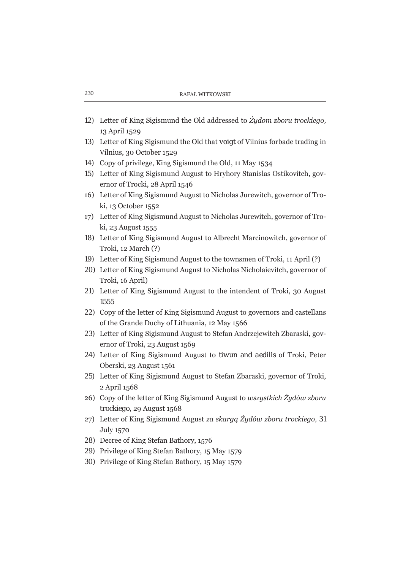- 12) Letter of King Sigismund the Old addressed to Żydom zboru trockiego, 13 April 1529
- 13) Letter of King Sigismund the Old that voigt of Vilnius forbade trading in Vilnius, 30 October 1529
- 14) Copy of privilege, King Sigismund the Old, 11 May 1534
- 15) Letter of King Sigismund August to Hryhory Stanislas Ostikovitch, governor of Trocki, 28 April 1546
- 16) Letter of King Sigismund August to Nicholas Jurewitch, governor of Troki, 13 October 1552
- 17) Letter of King Sigismund August to Nicholas Jurewitch, governor of Troki, 23 August 1555
- 18) Letter of King Sigismund August to Albrecht Marcinowitch, governor of Troki, 12 March (?)
- 19) Letter of King Sigismund August to the townsmen of Troki, 11 April (?)
- 20) Letter of King Sigismund August to Nicholas Nicholaievitch, governor of Troki, 16 April)
- 21) Letter of King Sigismund August to the intendent of Troki, 30 August 1555
- 22) Copy of the letter of King Sigismund August to governors and castellans of the Grande Duchy of Lithuania, 12 May 1566
- 23) Letter of King Sigismund August to Stefan Andrzejewitch Zbaraski, governor of Troki, 23 August 1569
- 24) Letter of King Sigismund August to *tiwun* and *aedilis* of Troki, Peter Oberski, 23 August 1561
- 25) Letter of King Sigismund August to Stefan Zbaraski, governor of Troki, 2 April 1568
- 26) Copy of the letter of King Sigismund August to wszystkich Żydów zboru trockiego, 29 August 1568
- 27) Letter of King Sigismund August za skarga Żudów zboru trockiego, 31 **July 1570**
- 28) Decree of King Stefan Bathory, 1576
- 29) Privilege of King Stefan Bathory, 15 May 1579
- 30) Privilege of King Stefan Bathory, 15 May 1579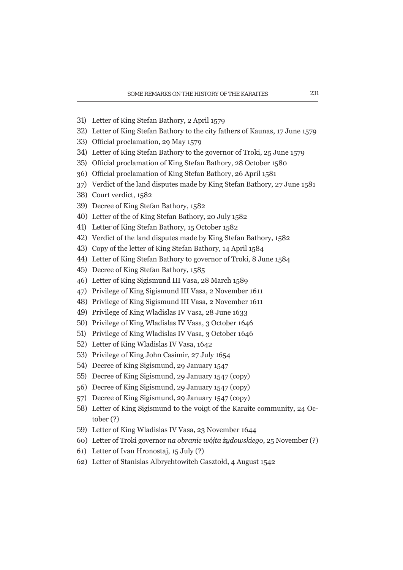- 31) Letter of King Stefan Bathory, 2 April 1579
- 32) Letter of King Stefan Bathory to the city fathers of Kaunas, 17 June 1579
- 33) Official proclamation, 29 May 1579
- 34) Letter of King Stefan Bathory to the governor of Troki, 25 June 1579
- 35) Official proclamation of King Stefan Bathory, 28 October 1580
- 36) Official proclamation of King Stefan Bathory, 26 April 1581
- 37) Verdict of the land disputes made by King Stefan Bathory, 27 June 1581
- 38) Court verdict, 1582
- 39) Decree of King Stefan Bathory, 1582
- 40) Letter of the of King Stefan Bathory, 20 July 1582
- 41) Letter of King Stefan Bathory, 15 October 1582
- 42) Verdict of the land disputes made by King Stefan Bathory, 1582
- 43) Copy of the letter of King Stefan Bathory, 14 April 1584
- 44) Letter of King Stefan Bathory to governor of Troki, 8 June 1584
- 45) Decree of King Stefan Bathory, 1585
- 46) Letter of King Sigismund III Vasa, 28 March 1589
- 47) Privilege of King Sigismund III Vasa, 2 November 1611
- 48) Privilege of King Sigismund III Vasa, 2 November 1611
- 49) Privilege of King Wladislas IV Vasa, 28 June 1633
- 50) Privilege of King Wladislas IV Vasa, 3 October 1646
- 51) Privilege of King Wladislas IV Vasa, 3 October 1646
- 52) Letter of King Wladislas IV Vasa, 1642
- 53) Privilege of King John Casimir, 27 July 1654
- 54) Decree of King Sigismund, 29 January 1547
- 55) Decree of King Sigismund, 29 January 1547 (copy)
- 56) Decree of King Sigismund, 29 January 1547 (copy)
- 57) Decree of King Sigismund, 29 January 1547 (copy)
- 58) Letter of King Sigismund to the *voigt* of the Karaite community, 24 Oc $tober(?)$
- 59) Letter of King Wladislas IV Vasa, 23 November 1644
- 60) Letter of Troki governor na obranie wójta żydowskiego, 25 November (?)
- 61) Letter of Ivan Hronostaj,  $15 \text{ July} (?)$
- 62) Letter of Stanislas Albrychtowitch Gasztołd, 4 August 1542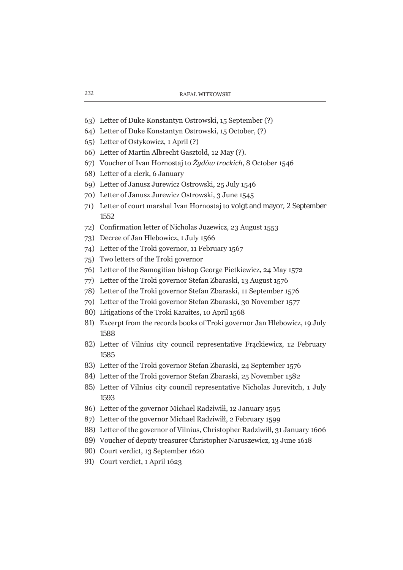- 63) Letter of Duke Konstantyn Ostrowski, 15 September (?)
- 64) Letter of Duke Konstantyn Ostrowski, 15 October, (?)
- 65) Letter of Ostykowicz, 1 April (?)
- 66) Letter of Martin Albrecht Gasztołd, 12 May (?).
- 67) Voucher of Ivan Hornostaj to Żydów trockich, 8 October 1546
- 68) Letter of a clerk, 6 January
- 69) Letter of Janusz Jurewicz Ostrowski, 25 July 1546
- 70) Letter of Janusz Jurewicz Ostrowski, 3 June 1545
- 71) Letter of court marshal Ivan Hornostaj to *voigt* and mayor, 2 September 1552
- 72) Confirmation letter of Nicholas Juzewicz, 23 August 1553
- 73) Decree of Jan Hlebowicz, 1 July 1566
- 74) Letter of the Troki governor, 11 February 1567
- 75) Two letters of the Troki governor
- 76) Letter of the Samogitian bishop George Pietkiewicz, 24 May 1572
- 77) Letter of the Troki governor Stefan Zbaraski, 13 August 1576
- 78) Letter of the Troki governor Stefan Zbaraski, 11 September 1576
- 79) Letter of the Troki governor Stefan Zbaraski, 30 November 1577
- 80) Litigations of the Troki Karaites, 10 April 1568
- 81) Excerpt from the records books of Troki governor Jan Hlebowicz, 19 July 1588
- 82) Letter of Vilnius city council representative Frackiewicz, 12 February 1585
- 83) Letter of the Troki governor Stefan Zbaraski, 24 September 1576
- 84) Letter of the Troki governor Stefan Zbaraski, 25 November 1582
- 85) Letter of Vilnius city council representative Nicholas Jurevitch, 1 July 1593
- 86) Letter of the governor Michael Radziwiłł, 12 January 1595
- 87) Letter of the governor Michael Radziwiłł, 2 February 1599
- 88) Letter of the governor of Vilnius, Christopher Radziwiłł, 31 January 1606
- 89) Voucher of deputy treasurer Christopher Naruszewicz, 13 June 1618
- 90) Court verdict, 13 September 1620
- 91) Court verdict, 1 April 1623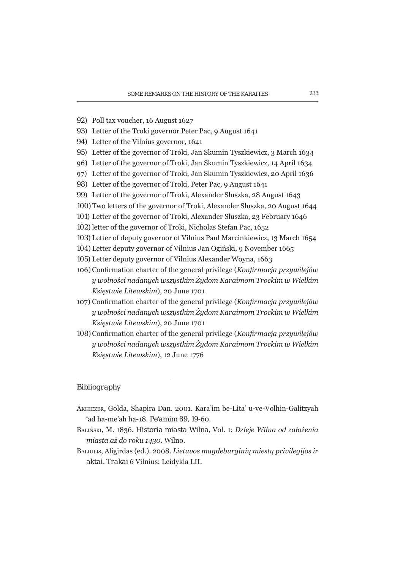- 92) Poll tax voucher, 16 August 1627
- 93) Letter of the Troki governor Peter Pac, 9 August 1641
- 94) Letter of the Vilnius governor, 1641
- 95) Letter of the governor of Troki, Jan Skumin Tyszkiewicz, 3 March 1634
- 96) Letter of the governor of Troki, Jan Skumin Tyszkiewicz, 14 April 1634
- 97) Letter of the governor of Troki, Jan Skumin Tyszkiewicz, 20 April 1636
- 98) Letter of the governor of Troki, Peter Pac, 9 August 1641
- 99) Letter of the governor of Troki, Alexander Słuszka, 28 August 1643
- 100) Two letters of the governor of Troki, Alexander Słuszka, 20 August 1644
- 101) Letter of the governor of Troki, Alexander Słuszka, 23 February 1646
- 102) letter of the governor of Troki, Nicholas Stefan Pac, 1652
- 103) Letter of deputy governor of Vilnius Paul Marcinkiewicz, 13 March 1654
- 104) Letter deputy governor of Vilnius Jan Ogiński, 9 November 1665
- 105) Letter deputy governor of Vilnius Alexander Woyna, 1663
- 106) Confirmation charter of the general privilege (Konfirmacja przywilejów y wolności nadanych wszystkim Żydom Karaimom Trockim w Wielkim Księstwie Litewskim), 20 June 1701
- 107) Confirmation charter of the general privilege (Konfirmacia przywilejów y wolności nadanych wszystkim Żydom Karaimom Trockim w Wielkim Ksiestwie Litewskim), 20 June 1701
- 108) Confirmation charter of the general privilege (Konfirmacja przywilejów y wolności nadanych wszystkim Żydom Karaimom Trockim w Wielkim Księstwie Litewskim), 12 June 1776

## Bibliography

- AKHIEZER, Golda, Shapira Dan. 2001. Kara'im be-Lita' u-ve-Volhin-Galitzyah 'ad ha-me'ah ha-18. Pe'amim 89, 19-60.
- BALIŃSKI, M. 1836. Historia miasta Wilna, Vol. 1: Dzieje Wilna od założenia miasta aż do roku 1430. Wilno.
- BALIULIS, Aligirdas (ed.). 2008. Lietuvos magdeburginių miestų privilegijos ir aktai. Trakai 6 Vilnius: Leidykla LII.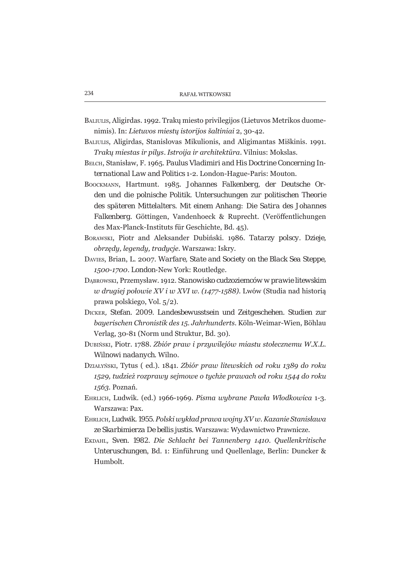- BALIULIS, Aligirdas. 1992. Trakų miesto privilegijos (Lietuvos Metrikos duomenimis). In: Lietuvos miestų istorijos šaltiniai 2, 30-42.
- BALIULIS, Aligirdas, Stanislovas Mikulionis, and Aligimantas Miškinis. 1991. Traku miestas ir pilus. Istrojia ir architektūra. Vilnius: Mokslas.
- BELCH, Stanisław, F. 1965. Paulus Vladimiri and His Doctrine Concerning International Law and Politics 1-2. London-Hague-Paris: Mouton.
- BOOCKMANN, Hartmunt. 1985. Johannes Falkenberg, der Deutsche Orden und die polnische Politik. Untersuchungen zur politischen Theorie des späteren Mittelalters. Mit einem Anhang: Die Satira des Johannes Falkenberg. Göttingen, Vandenhoeck & Ruprecht. (Veröffentlichungen des Max-Planck-Instituts für Geschichte, Bd. 45).
- BORAWSKI, Piotr and Aleksander Dubiński, 1986. Tatarzy polscy. Dzieje, obrzedu, legendu, traducie, Warszawa: Iskry.
- DAVIES, Brian, L. 2007. Warfare, State and Society on the Black Sea Steppe, 1500-1700. London-New York: Routledge.
- DĄBROWSKI, Przemysław. 1912. Stanowisko cudzoziemców w prawie litewskim w drugiej połowie XV i w XVI w. (1477-1588). Lwów (Studia nad historią prawa polskiego, Vol. 5/2).
- DICKER, Stefan. 2009. Landesbewusstsein und Zeitgeschehen. Studien zur bauerischen Chronistik des 15. Jahrhunderts, Köln-Weimar-Wien, Böhlau Verlag, 30-81 (Norm und Struktur, Bd. 30).
- DUBIŃSKI, Piotr. 1788. Zbiór praw i przywilejów miastu stołecznemu W.X.L. Wilnowi nadanych. Wilno.
- DZIAŁYŃSKI, Tytus (ed.). 1841. Zbiór praw litewskich od roku 1389 do roku 1529, tudzież rozprawy sejmowe o tychże prawach od roku 1544 do roku 1563. Poznań.
- EHRLICH, Ludwik. (ed.) 1966-1969. Pisma wubrane Pawła Włodkowica 1-3. Warszawa: Pax.
- EHRLICH, Ludwik, 1955, Polski wukład prawa wojnu XV w. Kazanie Stanisława ze Skarbimierza De bellis justis. Warszawa: Wydawnictwo Prawnicze.
- EKDAHL, Sven. 1982. Die Schlacht bei Tannenberg 1410. Quellenkritische Unteruschungen, Bd. 1: Einführung und Quellenlage, Berlin: Duncker & Humbolt.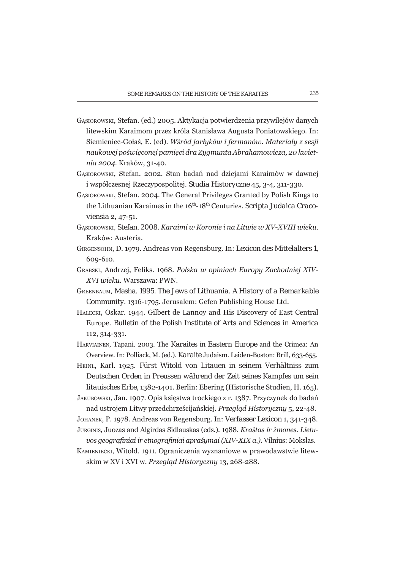- GĄsIOROWSKI, Stefan. (ed.) 2005. Aktykacja potwierdzenia przywilejów danych litewskim Karaimom przez króla Stanisława Augusta Poniatowskiego. In: Siemieniec-Gołaś, E. (ed). Wśród jarłyków i fermanów. Materiały z sesji naukowej poświeconej pamieci dra Zuamunta Abrahamowicza, 20 kwietnia 2004. Kraków, 31-40.
- GASIOROWSKI, Stefan. 2002. Stan badań nad dziejami Karaimów w dawnej i współczesnej Rzeczypospolitej. Studia Historyczne 45, 3-4, 311-330.
- GASIOROWSKI, Stefan. 2004. The General Privileges Granted by Polish Kings to the Lithuanian Karaimes in the 16<sup>th</sup>-18<sup>th</sup> Centuries. Scripta Judaica Cracoviensia 2, 47-51.
- GASIOROWSKI, Stefan, 2008. Karaimi w Koronie i na Litwie w XV-XVIII wieku. Kraków: Austeria.
- GIRGENSOHN, D. 1979. Andreas von Regensburg. In: Lexicon des Mittelalters 1. 609-610.
- GRABSKI, Andrzej, Feliks. 1968. Polska w opiniach Europy Zachodniej XIV-XVI wieku. Warszawa: PWN.
- GREENBAUM, Masha. 1995. The Jews of Lithuania. A History of a Remarkable Community, 1316-1795. Jerusalem: Gefen Publishing House Ltd.
- HALECKI, Oskar. 1944. Gilbert de Lannoy and His Discovery of East Central Europe. Bulletin of the Polish Institute of Arts and Sciences in America 112, 314-331.
- HARVIAINEN, Tapani. 2003. The Karaites in Eastern Europe and the Crimea: An Overview. In: Polliack, M. (ed.). Karaite Judaism. Leiden-Boston: Brill, 633-655.
- HEINL, Karl. 1925. Fürst Witold von Litauen in seinem Verhältniss zum Deutschen Orden in Preussen während der Zeit seines Kampfes um sein litauisches Erbe, 1382-1401. Berlin: Ebering (Historische Studien, H. 165).
- JAKUBOWSKI, Jan. 1907. Opis księstwa trockiego z r. 1387. Przyczynek do badań nad ustrojem Litwy przedchrześcijańskiej. Przegląd Historyczny 5, 22-48.
- JOHANEK, P. 1978. Andreas von Regensburg. In: Verfasser Lexicon 1, 341-348. JURGINIS, Juozas and Algirdas Sidlauskas (eds.). 1988. Kraštas ir žmones. Lietu-
- vos geografiniai ir etnografiniai aprašymai (XIV-XIX a.). Vilnius: Mokslas.
- KAMIENIECKI, Witold. 1911. Ograniczenia wyznaniowe w prawodawstwie litewskim w XV i XVI w. Przegląd Historyczny 13, 268-288.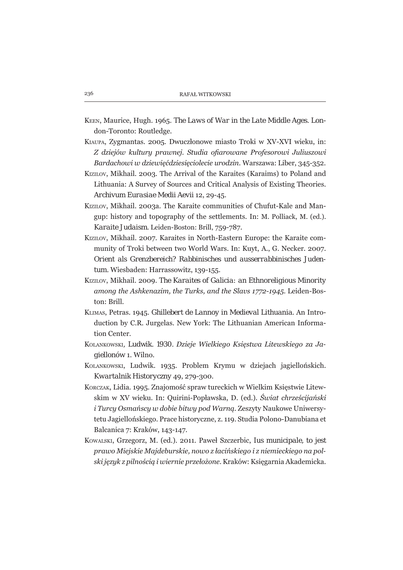- KEEN, Maurice, Hugh. 1965. The Laws of War in the Late Middle Ages. London-Toronto: Routledge.
- KIAUPA, Zygmantas. 2005. Dwuczłonowe miasto Troki w XV-XVI wieku, in: Z dziejów kultury prawnej. Studia ofiarowane Profesorowi Juliuszowi Bardachowi w dziewiećdziesieciolecie urodzin. Warszawa: Liber, 345-352.
- KIZILOV, Mikhail. 2003. The Arrival of the Karaites (Karaims) to Poland and Lithuania: A Survey of Sources and Critical Analysis of Existing Theories. Archivum Eurasiae Medii Aevii 12, 29-45.
- KIZILOV, Mikhail, 2003a. The Karaite communities of Chufut-Kale and Mangup: history and topography of the settlements. In: M. Polliack, M. (ed.). Karaite Judaism. Leiden-Boston: Brill. 759-787.
- KiziLov, Mikhail, 2007. Karaites in North-Eastern Europe: the Karaite community of Troki between two World Wars, In: Kuyt, A., G. Necker, 2007. Orient als Grenzbereich? Rabbinisches und ausserrabbinisches Judentum. Wiesbaden: Harrassowitz, 139-155.
- KiziLov, Mikhail, 2009. The Karaites of Galicia: an Ethnoreligious Minority among the Ashkenazim, the Turks, and the Slavs 1772-1945. Leiden-Boston: Brill.
- KLIMAS, Petras. 1945. Ghillebert de Lannoy in Medieval Lithuania. An Introduction by C.R. Jurgelas, New York: The Lithuanian American Information Center.
- KOLANKOWSKI, Ludwik. 1930. Dzieje Wielkiego Księstwa Litewskiego za Jagiellonów 1. Wilno.
- KOLANKOWSKI, Ludwik. 1935. Problem Krymu w dziejach jagiellońskich. Kwartalnik Historyczny 49, 279-300.
- KORCZAK, Lidia. 1995. Znajomość spraw tureckich w Wielkim Księstwie Litewskim w XV wieku. In: Quirini-Popławska, D. (ed.). Świat chrześcijański *i Turcy Osmańscy w dobie bitwy pod Warng. Zeszyty Naukowe Uniwersy*tetu Jagiellońskiego. Prace historyczne, z. 119. Studia Polono-Danubiana et Balcanica 7: Kraków, 143-147.
- KOWALSKI, Grzegorz, M. (ed.). 2011. Paweł Szczerbic, lus municipale, to jest prawo Miejskie Majdeburskie, nowo z łacińskiego i z niemieckiego na polski język z pilnością i wiernie przełożone. Kraków: Księgarnia Akademicka.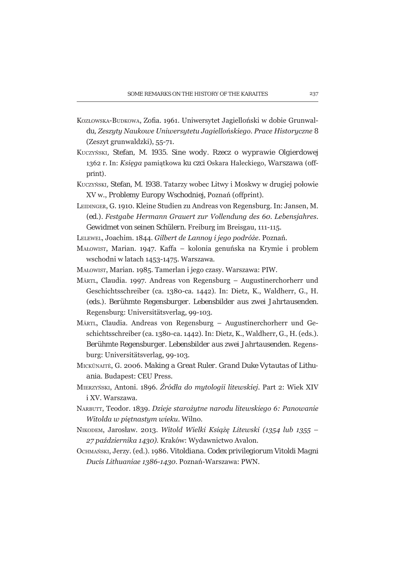- KOZŁOWSKA-BUDKOWA, Zofia. 1961. Uniwersytet Jagielloński w dobie Grunwaldu, Zeszyty Naukowe Uniwersytetu Jagiellońskiego. Prace Historyczne 8 (Zeszyt grunwaldzki), 55-71.
- Kuczyński, Stefan, M. 1935. Sine wody, Rzecz o wyprawie Olgierdowei 1362 r. In: Księga pamiątkowa ku czci Oskara Haleckiego, Warszawa (offprint).
- KUCZYŃSKI, Stefan, M. 1938. Tatarzy wobec Litwy i Moskwy w drugiej połowie XV w., Problemy Europy Wschodniej, Poznań (offprint).
- LEIDINGER, G. 1910. Kleine Studien zu Andreas von Regensburg. In: Jansen, M. (ed.). Festgabe Hermann Grauert zur Vollendung des 60. Lebensjahres. Gewidmet von seinen Schülern. Freiburg im Breisgau, 111-115.
- LELEWEL, Joachim. 1844. Gilbert de Lannoy i jego podróże. Poznań.
- MAŁOWIST, Marian, 1947, Kaffa kolonia genuńska na Krymie i problem wschodni w latach 1453-1475. Warszawa.
- MAŁOWIST, Marian. 1985. Tamerlan i jego czasy. Warszawa: PIW.
- MÄRTL, Claudia. 1997. Andreas von Regensburg Augustinerchorherr und Geschichtsschreiber (ca. 1380-ca. 1442). In: Dietz, K., Waldherr, G., H. (eds.). Berühmte Regensburger, Lebensbilder aus zwei Jahrtausenden. Regensburg: Universitätsverlag, 99-103.
- MÄRTL, Claudia. Andreas von Regensburg Augustinerchorherr und Geschichtsschreiber (ca. 1380-ca. 1442). In: Dietz, K., Waldherr, G., H. (eds.). Berühmte Regensburger. Lebensbilder aus zwei Jahrtausenden. Regensburg: Universitätsverlag, 99-103.
- MICKŪNAITĖ, G. 2006. Making a Great Ruler. Grand Duke Vytautas of Lithuania. Budapest: CEU Press.
- MIERZYŃSKI, Antoni. 1896. Źródła do mytologii litewskiej. Part 2: Wiek XIV i XV Warszawa
- NARBUTT, Teodor. 1839. Dzieje starożytne narodu litewskiego 6: Panowanie Witolda w pietnastum wieku. Wilno.
- NIKODEM, Jarosław. 2013. Witold Wielki Książę Litewski (1354 lub 1355 27 października 1430). Kraków: Wydawnictwo Avalon.
- Оснмая́вкі, Jerzy. (ed.). 1986. Vitoldiana. Codex privilegiorum Vitoldi Magni Ducis Lithuaniae 1386-1430. Poznań-Warszawa: PWN.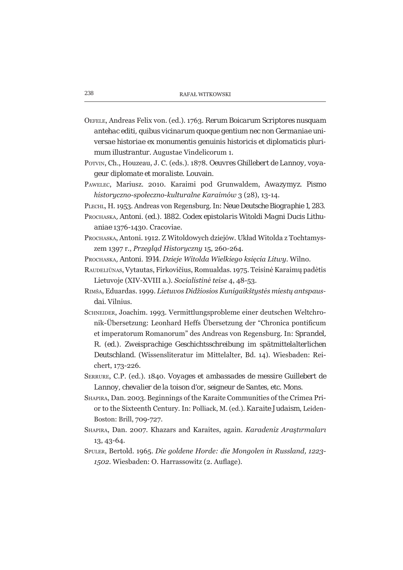- OEFELE, Andreas Felix von. (ed.). 1763. Rerum Boicarum Scriptores nusquam antehac editi, quibus vicinarum quoque gentium nec non Germaniae universae historiae ex monumentis genuinis historicis et diplomaticis plurimum illustrantur. Augustae Vindelicorum 1.
- POTVIN, Ch., Houzeau, J. C. (eds.). 1878. Oeuvres Ghillebert de Lannoy, voyageur diplomate et moraliste. Louvain.
- PAWELEC, Mariusz, 2010. Karaimi pod Grunwaldem, Awazymyz. Pismo historyczno-społeczno-kulturalne Karaimów 3 (28), 13-14.

PLECHL, H. 1953. Andreas von Regensburg. In: Neue Deutsche Biographie 1, 283.

- PROCHASKA, Antoni. (ed.). 1882. Codex epistolaris Witoldi Magni Ducis Lithuaniae 1376-1430. Cracoviae.
- PROCHASKA, Antoni. 1912. Z Witoldowych dziejów. Układ Witolda z Tochtamyszem 1397 r., Przeglad Historyczny 15, 260-264.
- PROCHASKA, Antoni. 1914. Dzieje Witolda Wielkiego księcia Litwy. Wilno.
- RAUDELIŪNAS, Vytautas, Firkovičius, Romualdas. 1975. Teisinė Karaimų padėtis Lietuvoje (XIV-XVIII a.). Socialistinė teise 4, 48-53.
- RIMŠA, Eduardas. 1999. Lietuvos Didžiosios Kunigaikštystės miestų antspausdai. Vilnius.
- SCHNEIDER, Joachim. 1993. Vermittlungsprobleme einer deutschen Weltchronik-Übersetzung: Leonhard Heffs Übersetzung der "Chronica pontificum et imperatorum Romanorum" des Andreas von Regensburg. In: Sprandel, R. (ed.). Zweisprachige Geschichtsschreibung im spätmittelalterlichen Deutschland. (Wissensliteratur im Mittelalter, Bd. 14). Wiesbaden: Reichert, 173-226.
- SERRURE, C.P. (ed.). 1840. Voyages et ambassades de messire Guillebert de Lannoy, chevalier de la toison d'or, seigneur de Santes, etc. Mons.
- SHAPIRA, Dan. 2003. Beginnings of the Karaite Communities of the Crimea Prior to the Sixteenth Century. In: Polliack, M. (ed.). Karaite Judaism, Leiden-Boston: Brill, 709-727.
- SHAPIRA, Dan. 2007. Khazars and Karaites, again. Karadeniz Arastırmaları 13, 43-64.
- SPULER, Bertold. 1965. Die goldene Horde: die Mongolen in Russland, 1223-1502. Wiesbaden: O. Harrassowitz (2. Auflage).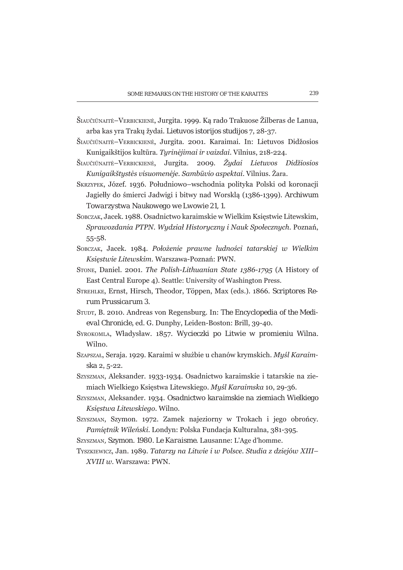- ŠIAUČIŪNAITĖ–VERBICKIENĖ, Jurgita. 1999. Ką rado Trakuose Žilberas de Lanua, arba kas yra Trakų žydai. Lietuvos istorijos studijos 7, 28-37.
- ŠIAUČIŪNAITĖ-VERBICKIENĖ, Jurgita. 2001. Karaimai. In: Lietuvos Didžosios Kunigaikštijos kultūra. Turinėjimai ir vaizdai. Vilnius, 218-224.
- ŠIAUČIŪNAITĖ–VERBICKIENĖ, JUTTIta. 2009. Žudai Lietuvos Didžiosios Kunigaikštųstės visuomenėje. Sambūvio aspektai. Vilnius. Žara.
- SKRZYPEK, JÓZEÍ, 1936. Południowo-wschodnia polityka Polski od koronacji Jagiełły do śmierci Jadwigi i bitwy nad Worsklą (1386-1399). Archiwum Towarzystwa Naukowego we Lwowie 21, 1.
- SOBCZAK, Jacek, 1988, Osadnictwo karaimskie w Wielkim Ksiestwie Litewskim, Sprawozdania PTPN. Wydział Historyczny i Nauk Społecznych. Poznań,  $55 - 58$ .
- SOBCZAK, Jacek, 1984, Położenie prawne ludności tatarskiej w Wielkim Księstwie Litewskim. Warszawa-Poznań: PWN.
- STONE, Daniel. 2001. The Polish-Lithuanian State 1386-1795 (A History of East Central Europe 4). Seattle: University of Washington Press.
- STREHLKE, Ernst, Hirsch, Theodor, Töppen, Max (eds.). 1866. Scriptores Rerum Prussicarum 3.
- STUDT, B. 2010. Andreas von Regensburg. In: The Encyclopedia of the Medieval Chronicle, ed. G. Dunphy, Leiden-Boston: Brill, 39-40.
- SYROKOMLA, Władysław. 1857. Wycieczki po Litwie w promieniu Wilna. Wilno.
- SZAPSZAŁ, Seraja. 1929. Karaimi w służbie u chanów krymskich. Myśl Karaimska 2, 5-22.
- SZYSZMAN, Aleksander. 1933-1934. Osadnictwo karaimskie i tatarskie na ziemiach Wielkiego Księstwa Litewskiego. Myśl Karaimska 10, 29-36.
- SZYSZMAN, Aleksander. 1934. Osadnictwo karaimskie na ziemiach Wielkiego Ksiestwa Litewskiego, Wilno.
- SZYSZMAN, SZVMON, 1972. Zamek najeziorny w Trokach i jego obrońcy. Pamiętnik Wileński. Londyn: Polska Fundacja Kulturalna, 381-395.
- SZYSZMAN, SZYMON. 1980. Le Karaisme. Lausanne: L'Age d'homme.
- TYSZKIEWICZ, Jan. 1989. Tatarzy na Litwie i w Polsce. Studia z dziejów XIII-XVIII w. Warszawa: PWN.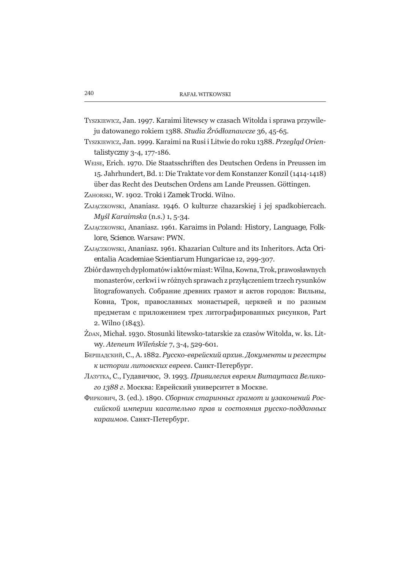- TYSZKIEWICZ, Jan. 1997. Karaimi litewscy w czasach Witolda i sprawa przywileju datowanego rokiem 1388. Studia Źródłoznawcze 36, 45-65.
- TYSZKIEWICZ, Jan. 1999. Karaimi na Rusi i Litwie do roku 1388. Przegląd Orien $talistvcznv3-4, 177-186.$
- WEISE, Erich. 1970. Die Staatsschriften des Deutschen Ordens in Preussen im 15. Jahrhundert, Bd. 1: Die Traktate vor dem Konstanzer Konzil (1414-1418) über das Recht des Deutschen Ordens am Lande Preussen. Göttingen.
- ZAHORSKI, W. 1902. Troki i Zamek Trocki. Wilno.
- ZAJACZKOWSKI, Ananiasz. 1946. O kulturze chazarskiej i jej spadkobiercach. Myśl Karaimska (n.s.) 1, 5-34.
- ZAJACZKOWSKI, Ananiasz, 1961, Karaims in Poland: History, Language, Folklore, Science, Warsaw: PWN.
- ZAJACZKOWSKI, Ananiasz, 1961, Khazarian Culture and its Inheritors, Acta Orientalia Academiae Scientiarum Hungaricae 12, 299-307.
- Zbiór dawnych dyplomatówi aktów miast: Wilna, Kowna, Trok, prawosławnych monasterów, cerkwi i w różnych sprawach z przyłączeniem trzech rysunków litografowanych. Собрание древних грамот и актов городов: Вильны, Ковна. Трок. православных монастырей, церквей и по разным предметам с приложением трех литографированных рисунков, Part 2. Wilno (1843).
- ŻDAN, Michał. 1930. Stosunki litewsko-tatarskie za czasów Witolda, w. ks. Litwy. Ateneum Wileńskie 7, 3-4, 529-601.
- Бершадский, С., А. 1882. Рисско-еврейский архив. Докименты и регестры к истории литовских евреев. Санкт-Петербург.
- Ллзутка, С., Гудавичюс, Э. 1993. Привилегия евреям Витаутаса Великого 1388 г. Москва: Еврейский университет в Москве.
- Фиркович, З. (ed.), 1890. Сборник старинных грамот и изаконений Российской империи касательно прав и состояния рисско-подданных караимов. Санкт-Петербург.